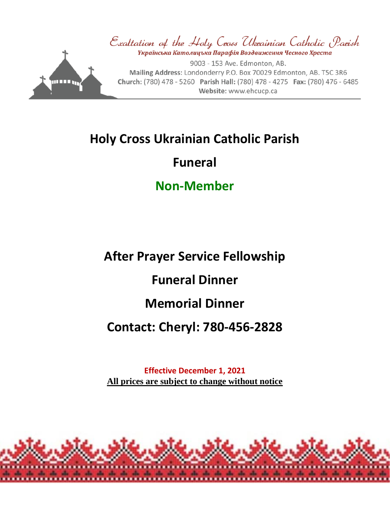

# **Holy Cross Ukrainian Catholic Parish**

### **Funeral**

## **Non-Member**

# **After Prayer Service Fellowship**

## **Funeral Dinner**

# **Memorial Dinner**

## **Contact: Cheryl: 780-456-2828**

**Effective December 1, 2021 All prices are subject to change without notice**